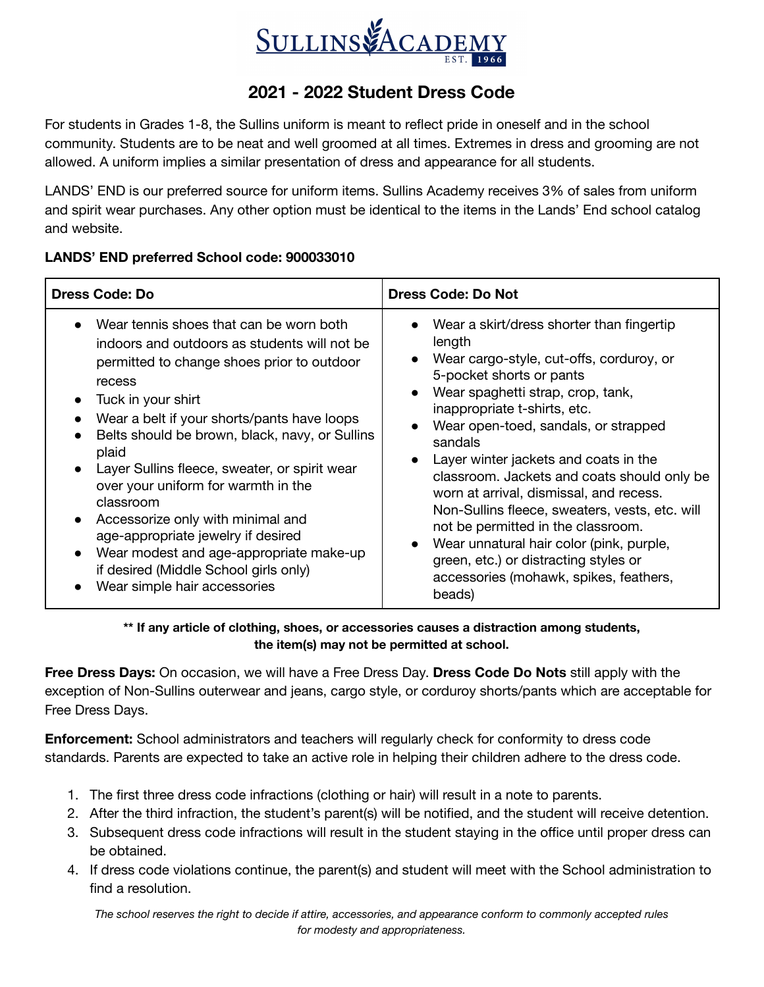

## **2021 - 2022 Student Dress Code**

For students in Grades 1-8, the Sullins uniform is meant to reflect pride in oneself and in the school community. Students are to be neat and well groomed at all times. Extremes in dress and grooming are not allowed. A uniform implies a similar presentation of dress and appearance for all students.

LANDS' END is our preferred source for uniform items. Sullins Academy receives 3% of sales from uniform and spirit wear purchases. Any other option must be identical to the items in the Lands' End school catalog and website.

## **LANDS' END preferred School code: 900033010**

| <b>Dress Code: Do</b>                                                                                                                                                                                                                                                                                                                                                                                                                                                                                                                                                                                                                                             | <b>Dress Code: Do Not</b>                                                                                                                                                                                                                                                                                                                                                                                                                                                                                                                                                                                               |
|-------------------------------------------------------------------------------------------------------------------------------------------------------------------------------------------------------------------------------------------------------------------------------------------------------------------------------------------------------------------------------------------------------------------------------------------------------------------------------------------------------------------------------------------------------------------------------------------------------------------------------------------------------------------|-------------------------------------------------------------------------------------------------------------------------------------------------------------------------------------------------------------------------------------------------------------------------------------------------------------------------------------------------------------------------------------------------------------------------------------------------------------------------------------------------------------------------------------------------------------------------------------------------------------------------|
| Wear tennis shoes that can be worn both<br>indoors and outdoors as students will not be<br>permitted to change shoes prior to outdoor<br>recess<br>Tuck in your shirt<br>$\bullet$<br>Wear a belt if your shorts/pants have loops<br>$\bullet$<br>Belts should be brown, black, navy, or Sullins<br>plaid<br>Layer Sullins fleece, sweater, or spirit wear<br>$\bullet$<br>over your uniform for warmth in the<br>classroom<br>Accessorize only with minimal and<br>$\bullet$<br>age-appropriate jewelry if desired<br>Wear modest and age-appropriate make-up<br>$\bullet$<br>if desired (Middle School girls only)<br>Wear simple hair accessories<br>$\bullet$ | Wear a skirt/dress shorter than fingertip<br>length<br>Wear cargo-style, cut-offs, corduroy, or<br>5-pocket shorts or pants<br>Wear spaghetti strap, crop, tank,<br>inappropriate t-shirts, etc.<br>Wear open-toed, sandals, or strapped<br>sandals<br>Layer winter jackets and coats in the<br>classroom. Jackets and coats should only be<br>worn at arrival, dismissal, and recess.<br>Non-Sullins fleece, sweaters, vests, etc. will<br>not be permitted in the classroom.<br>Wear unnatural hair color (pink, purple,<br>green, etc.) or distracting styles or<br>accessories (mohawk, spikes, feathers,<br>beads) |

## **\*\* If any article of clothing, shoes, or accessories causes a distraction among students, the item(s) may not be permitted at school.**

**Free Dress Days:** On occasion, we will have a Free Dress Day. **Dress Code Do Nots** still apply with the exception of Non-Sullins outerwear and jeans, cargo style, or corduroy shorts/pants which are acceptable for Free Dress Days.

**Enforcement:** School administrators and teachers will regularly check for conformity to dress code standards. Parents are expected to take an active role in helping their children adhere to the dress code.

- 1. The first three dress code infractions (clothing or hair) will result in a note to parents.
- 2. After the third infraction, the student's parent(s) will be notified, and the student will receive detention.
- 3. Subsequent dress code infractions will result in the student staying in the office until proper dress can be obtained.
- 4. If dress code violations continue, the parent(s) and student will meet with the School administration to find a resolution.

*The school reserves the right to decide if attire, accessories, and appearance conform to commonly accepted rules for modesty and appropriateness.*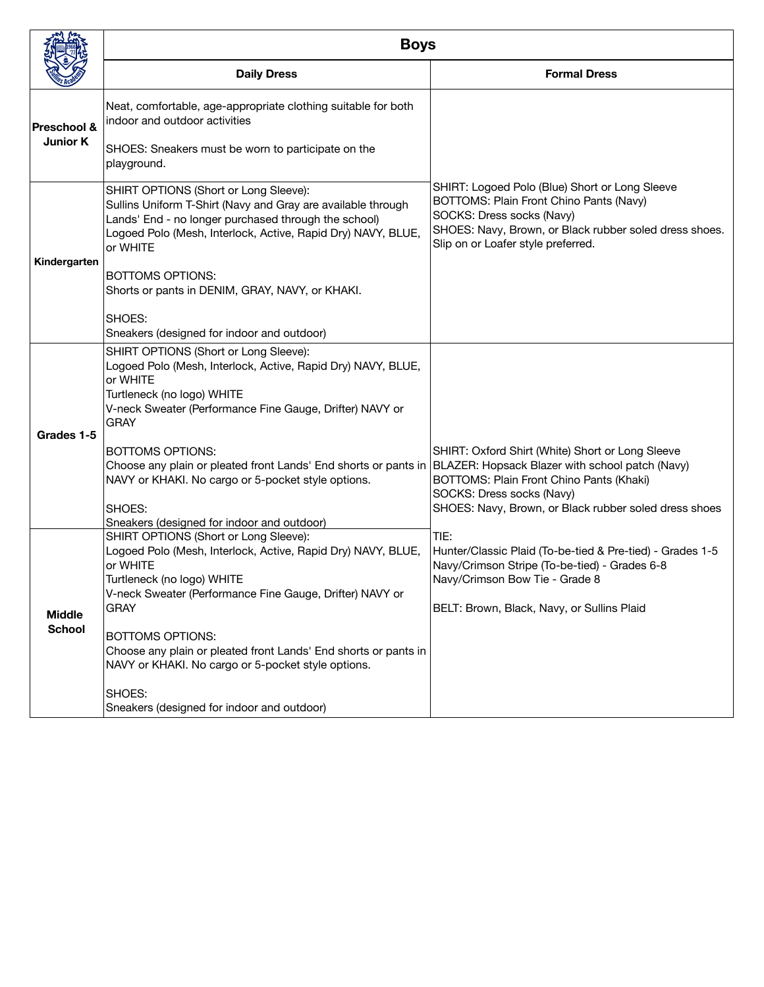|                                | <b>Boys</b>                                                                                                                                                                                                                               |                                                                                                                                                                                                                                       |
|--------------------------------|-------------------------------------------------------------------------------------------------------------------------------------------------------------------------------------------------------------------------------------------|---------------------------------------------------------------------------------------------------------------------------------------------------------------------------------------------------------------------------------------|
|                                | <b>Daily Dress</b>                                                                                                                                                                                                                        | <b>Formal Dress</b>                                                                                                                                                                                                                   |
| Preschool &<br><b>Junior K</b> | Neat, comfortable, age-appropriate clothing suitable for both<br>indoor and outdoor activities<br>SHOES: Sneakers must be worn to participate on the                                                                                      |                                                                                                                                                                                                                                       |
|                                | playground.                                                                                                                                                                                                                               |                                                                                                                                                                                                                                       |
| Kindergarten                   | SHIRT OPTIONS (Short or Long Sleeve):<br>Sullins Uniform T-Shirt (Navy and Gray are available through<br>Lands' End - no longer purchased through the school)<br>Logoed Polo (Mesh, Interlock, Active, Rapid Dry) NAVY, BLUE,<br>or WHITE | SHIRT: Logoed Polo (Blue) Short or Long Sleeve<br>BOTTOMS: Plain Front Chino Pants (Navy)<br>SOCKS: Dress socks (Navy)<br>SHOES: Navy, Brown, or Black rubber soled dress shoes.<br>Slip on or Loafer style preferred.                |
|                                | <b>BOTTOMS OPTIONS:</b><br>Shorts or pants in DENIM, GRAY, NAVY, or KHAKI.                                                                                                                                                                |                                                                                                                                                                                                                                       |
|                                | SHOES:<br>Sneakers (designed for indoor and outdoor)                                                                                                                                                                                      |                                                                                                                                                                                                                                       |
| Grades 1-5                     | SHIRT OPTIONS (Short or Long Sleeve):<br>Logoed Polo (Mesh, Interlock, Active, Rapid Dry) NAVY, BLUE,<br>or WHITE<br>Turtleneck (no logo) WHITE<br>V-neck Sweater (Performance Fine Gauge, Drifter) NAVY or<br><b>GRAY</b>                |                                                                                                                                                                                                                                       |
|                                | <b>BOTTOMS OPTIONS:</b><br>Choose any plain or pleated front Lands' End shorts or pants in<br>NAVY or KHAKI. No cargo or 5-pocket style options.<br>SHOES:                                                                                | SHIRT: Oxford Shirt (White) Short or Long Sleeve<br>BLAZER: Hopsack Blazer with school patch (Navy)<br>BOTTOMS: Plain Front Chino Pants (Khaki)<br>SOCKS: Dress socks (Navy)<br>SHOES: Navy, Brown, or Black rubber soled dress shoes |
|                                | Sneakers (designed for indoor and outdoor)<br>SHIRT OPTIONS (Short or Long Sleeve):                                                                                                                                                       | TIE:                                                                                                                                                                                                                                  |
|                                | Logoed Polo (Mesh, Interlock, Active, Rapid Dry) NAVY, BLUE,<br>or WHITE<br>Turtleneck (no logo) WHITE<br>V-neck Sweater (Performance Fine Gauge, Drifter) NAVY or                                                                        | Hunter/Classic Plaid (To-be-tied & Pre-tied) - Grades 1-5<br>Navy/Crimson Stripe (To-be-tied) - Grades 6-8<br>Navy/Crimson Bow Tie - Grade 8                                                                                          |
| <b>Middle</b><br><b>School</b> | <b>GRAY</b><br><b>BOTTOMS OPTIONS:</b><br>Choose any plain or pleated front Lands' End shorts or pants in<br>NAVY or KHAKI. No cargo or 5-pocket style options.                                                                           | BELT: Brown, Black, Navy, or Sullins Plaid                                                                                                                                                                                            |
|                                | SHOES:<br>Sneakers (designed for indoor and outdoor)                                                                                                                                                                                      |                                                                                                                                                                                                                                       |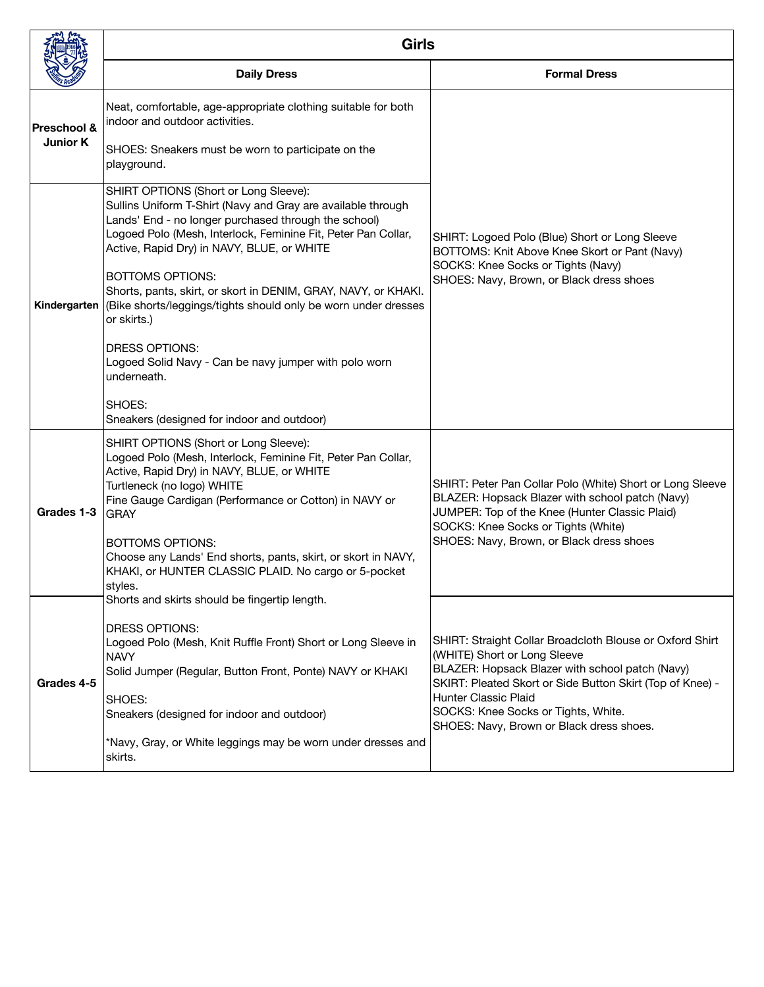|                                | <b>Girls</b>                                                                                                                                                                                                                                                                                                                                                                                                                                                                                                                                                                                                                       |                                                                                                                                                                                                                                                                                                                     |
|--------------------------------|------------------------------------------------------------------------------------------------------------------------------------------------------------------------------------------------------------------------------------------------------------------------------------------------------------------------------------------------------------------------------------------------------------------------------------------------------------------------------------------------------------------------------------------------------------------------------------------------------------------------------------|---------------------------------------------------------------------------------------------------------------------------------------------------------------------------------------------------------------------------------------------------------------------------------------------------------------------|
|                                | <b>Daily Dress</b>                                                                                                                                                                                                                                                                                                                                                                                                                                                                                                                                                                                                                 | <b>Formal Dress</b>                                                                                                                                                                                                                                                                                                 |
| Preschool &<br><b>Junior K</b> | Neat, comfortable, age-appropriate clothing suitable for both<br>indoor and outdoor activities.<br>SHOES: Sneakers must be worn to participate on the                                                                                                                                                                                                                                                                                                                                                                                                                                                                              |                                                                                                                                                                                                                                                                                                                     |
| Kindergarten                   | playground.<br>SHIRT OPTIONS (Short or Long Sleeve):<br>Sullins Uniform T-Shirt (Navy and Gray are available through<br>Lands' End - no longer purchased through the school)<br>Logoed Polo (Mesh, Interlock, Feminine Fit, Peter Pan Collar,<br>Active, Rapid Dry) in NAVY, BLUE, or WHITE<br><b>BOTTOMS OPTIONS:</b><br>Shorts, pants, skirt, or skort in DENIM, GRAY, NAVY, or KHAKI.<br>(Bike shorts/leggings/tights should only be worn under dresses<br>or skirts.)<br><b>DRESS OPTIONS:</b><br>Logoed Solid Navy - Can be navy jumper with polo worn<br>underneath.<br>SHOES:<br>Sneakers (designed for indoor and outdoor) | SHIRT: Logoed Polo (Blue) Short or Long Sleeve<br>BOTTOMS: Knit Above Knee Skort or Pant (Navy)<br>SOCKS: Knee Socks or Tights (Navy)<br>SHOES: Navy, Brown, or Black dress shoes                                                                                                                                   |
| Grades 1-3                     | SHIRT OPTIONS (Short or Long Sleeve):<br>Logoed Polo (Mesh, Interlock, Feminine Fit, Peter Pan Collar,<br>Active, Rapid Dry) in NAVY, BLUE, or WHITE<br>Turtleneck (no logo) WHITE<br>Fine Gauge Cardigan (Performance or Cotton) in NAVY or<br><b>GRAY</b><br><b>BOTTOMS OPTIONS:</b><br>Choose any Lands' End shorts, pants, skirt, or skort in NAVY,<br>KHAKI, or HUNTER CLASSIC PLAID. No cargo or 5-pocket<br>styles.                                                                                                                                                                                                         | SHIRT: Peter Pan Collar Polo (White) Short or Long Sleeve<br>BLAZER: Hopsack Blazer with school patch (Navy)<br>JUMPER: Top of the Knee (Hunter Classic Plaid)<br>SOCKS: Knee Socks or Tights (White)<br>SHOES: Navy, Brown, or Black dress shoes                                                                   |
| Grades 4-5                     | Shorts and skirts should be fingertip length.<br><b>DRESS OPTIONS:</b><br>Logoed Polo (Mesh, Knit Ruffle Front) Short or Long Sleeve in<br><b>NAVY</b><br>Solid Jumper (Regular, Button Front, Ponte) NAVY or KHAKI<br>SHOES:<br>Sneakers (designed for indoor and outdoor)<br>*Navy, Gray, or White leggings may be worn under dresses and<br>skirts.                                                                                                                                                                                                                                                                             | SHIRT: Straight Collar Broadcloth Blouse or Oxford Shirt<br>(WHITE) Short or Long Sleeve<br>BLAZER: Hopsack Blazer with school patch (Navy)<br>SKIRT: Pleated Skort or Side Button Skirt (Top of Knee) -<br>Hunter Classic Plaid<br>SOCKS: Knee Socks or Tights, White.<br>SHOES: Navy, Brown or Black dress shoes. |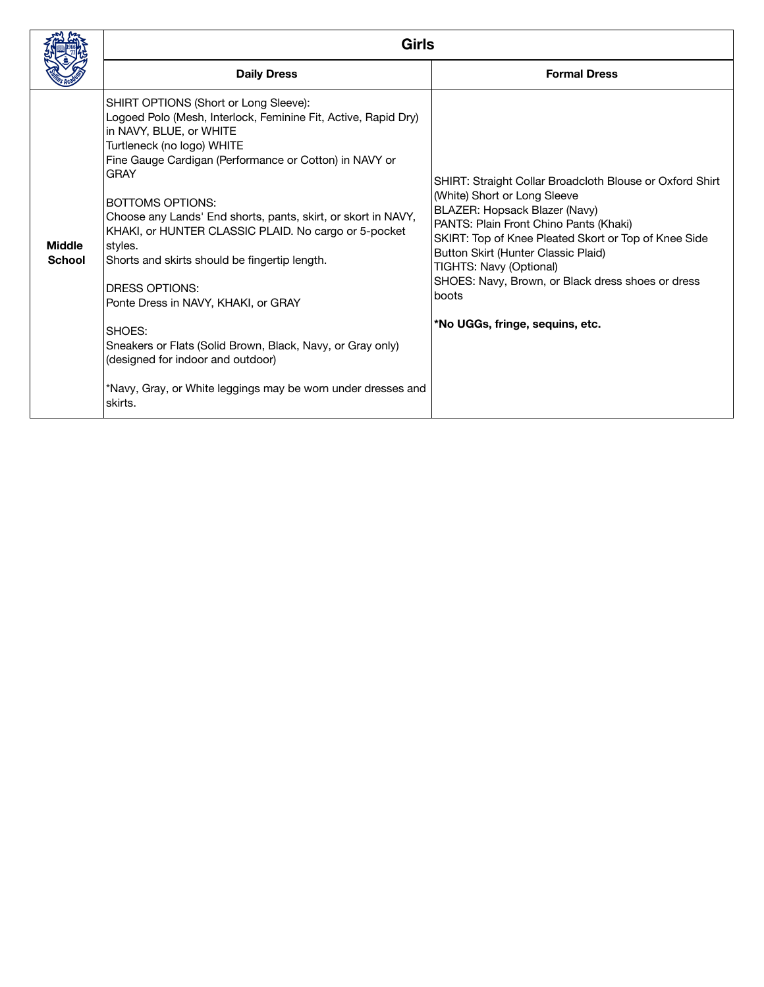|                                | <b>Girls</b>                                                                                                                                                                                                                                                                                                                                                                                                                                                                                                                                                                                                                                                                                               |                                                                                                                                                                                                                                                                                                                                                                                                |
|--------------------------------|------------------------------------------------------------------------------------------------------------------------------------------------------------------------------------------------------------------------------------------------------------------------------------------------------------------------------------------------------------------------------------------------------------------------------------------------------------------------------------------------------------------------------------------------------------------------------------------------------------------------------------------------------------------------------------------------------------|------------------------------------------------------------------------------------------------------------------------------------------------------------------------------------------------------------------------------------------------------------------------------------------------------------------------------------------------------------------------------------------------|
|                                | <b>Daily Dress</b>                                                                                                                                                                                                                                                                                                                                                                                                                                                                                                                                                                                                                                                                                         | <b>Formal Dress</b>                                                                                                                                                                                                                                                                                                                                                                            |
| <b>Middle</b><br><b>School</b> | SHIRT OPTIONS (Short or Long Sleeve):<br>Logoed Polo (Mesh, Interlock, Feminine Fit, Active, Rapid Dry)<br>in NAVY, BLUE, or WHITE<br>Turtleneck (no logo) WHITE<br>Fine Gauge Cardigan (Performance or Cotton) in NAVY or<br><b>GRAY</b><br><b>BOTTOMS OPTIONS:</b><br>Choose any Lands' End shorts, pants, skirt, or skort in NAVY,<br>KHAKI, or HUNTER CLASSIC PLAID. No cargo or 5-pocket<br>styles.<br>Shorts and skirts should be fingertip length.<br>DRESS OPTIONS:<br>Ponte Dress in NAVY, KHAKI, or GRAY<br>SHOES:<br>Sneakers or Flats (Solid Brown, Black, Navy, or Gray only)<br>(designed for indoor and outdoor)<br>*Navy, Gray, or White leggings may be worn under dresses and<br>skirts. | SHIRT: Straight Collar Broadcloth Blouse or Oxford Shirt<br>(White) Short or Long Sleeve<br>BLAZER: Hopsack Blazer (Navy)<br>PANTS: Plain Front Chino Pants (Khaki)<br>SKIRT: Top of Knee Pleated Skort or Top of Knee Side<br>Button Skirt (Hunter Classic Plaid)<br>TIGHTS: Navy (Optional)<br>SHOES: Navy, Brown, or Black dress shoes or dress<br>boots<br>*No UGGs, fringe, sequins, etc. |